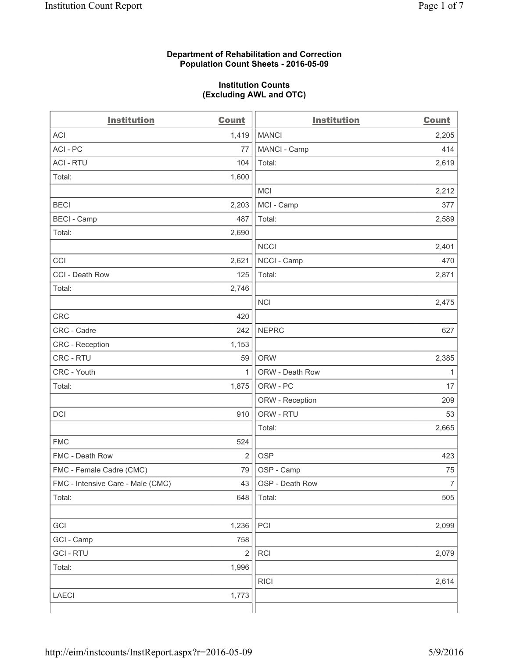### **Department of Rehabilitation and Correction Population Count Sheets - 2016-05-09**

### **Institution Counts (Excluding AWL and OTC)**

| <b>Institution</b>                | <b>Count</b>   | <b>Institution</b> | <b>Count</b>   |
|-----------------------------------|----------------|--------------------|----------------|
| <b>ACI</b>                        | 1,419          | <b>MANCI</b>       | 2,205          |
| ACI-PC                            | 77             | MANCI - Camp       | 414            |
| <b>ACI - RTU</b>                  | 104            | Total:             | 2,619          |
| Total:                            | 1,600          |                    |                |
|                                   |                | <b>MCI</b>         | 2,212          |
| <b>BECI</b>                       | 2,203          | MCI - Camp         | 377            |
| <b>BECI - Camp</b>                | 487            | Total:             | 2,589          |
| Total:                            | 2,690          |                    |                |
|                                   |                | <b>NCCI</b>        | 2,401          |
| CCI                               | 2,621          | NCCI - Camp        | 470            |
| CCI - Death Row                   | 125            | Total:             | 2,871          |
| Total:                            | 2,746          |                    |                |
|                                   |                | <b>NCI</b>         | 2,475          |
| <b>CRC</b>                        | 420            |                    |                |
| CRC - Cadre                       | 242            | <b>NEPRC</b>       | 627            |
| CRC - Reception                   | 1,153          |                    |                |
| CRC - RTU                         | 59             | <b>ORW</b>         | 2,385          |
| CRC - Youth                       | 1              | ORW - Death Row    | $\mathbf{1}$   |
| Total:                            | 1,875          | ORW - PC           | 17             |
|                                   |                | ORW - Reception    | 209            |
| DCI                               | 910            | ORW - RTU          | 53             |
|                                   |                | Total:             | 2,665          |
| <b>FMC</b>                        | 524            |                    |                |
| FMC - Death Row                   | $\overline{2}$ | <b>OSP</b>         | 423            |
| FMC - Female Cadre (CMC)          | 79             | OSP - Camp         | 75             |
| FMC - Intensive Care - Male (CMC) | 43             | OSP - Death Row    | $\overline{7}$ |
| Total:                            | 648            | Total:             | 505            |
|                                   |                |                    |                |
| GCI                               | 1,236          | PCI                | 2,099          |
| GCI - Camp                        | 758            |                    |                |
| <b>GCI-RTU</b>                    | $\overline{2}$ | RCI                | 2,079          |
| Total:                            | 1,996          |                    |                |
|                                   |                | <b>RICI</b>        | 2,614          |
| <b>LAECI</b>                      | 1,773          |                    |                |
|                                   |                |                    |                |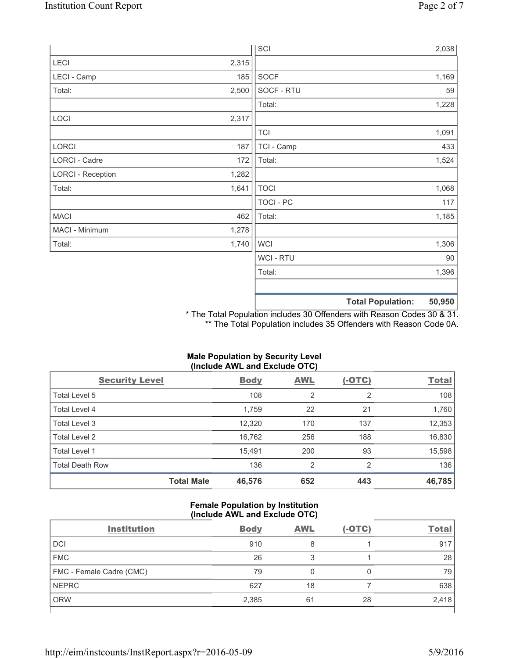|                          |       | SCI            |                          | 2,038  |
|--------------------------|-------|----------------|--------------------------|--------|
| LECI                     | 2,315 |                |                          |        |
| LECI - Camp              | 185   | SOCF           |                          | 1,169  |
| Total:                   | 2,500 | SOCF - RTU     |                          | 59     |
|                          |       | Total:         |                          | 1,228  |
| LOCI                     | 2,317 |                |                          |        |
|                          |       | <b>TCI</b>     |                          | 1,091  |
| LORCI                    | 187   | TCI - Camp     |                          | 433    |
| LORCI - Cadre            | 172   | Total:         |                          | 1,524  |
| <b>LORCI - Reception</b> | 1,282 |                |                          |        |
| Total:                   | 1,641 | <b>TOCI</b>    |                          | 1,068  |
|                          |       | TOCI - PC      |                          | 117    |
| <b>MACI</b>              | 462   | Total:         |                          | 1,185  |
| MACI - Minimum           | 1,278 |                |                          |        |
| Total:                   | 1,740 | <b>WCI</b>     |                          | 1,306  |
|                          |       | <b>WCI-RTU</b> |                          | 90     |
|                          |       | Total:         |                          | 1,396  |
|                          |       |                |                          |        |
|                          |       |                | <b>Total Population:</b> | 50,950 |

\* The Total Population includes 30 Offenders with Reason Codes 30 & 31. \*\* The Total Population includes 35 Offenders with Reason Code 0A.

# **Male Population by Security Level (Include AWL and Exclude OTC)**

| <b>Security Level</b>  |                   | <b>Body</b> | <b>AWL</b>     | $(-OTC)$ | <b>Total</b> |
|------------------------|-------------------|-------------|----------------|----------|--------------|
| Total Level 5          |                   | 108         | $\overline{2}$ | 2        | 108          |
| Total Level 4          |                   | 1,759       | 22             | 21       | 1,760        |
| Total Level 3          |                   | 12,320      | 170            | 137      | 12,353       |
| Total Level 2          |                   | 16,762      | 256            | 188      | 16,830       |
| Total Level 1          |                   | 15.491      | 200            | 93       | 15,598       |
| <b>Total Death Row</b> |                   | 136         | $\overline{2}$ | 2        | 136          |
|                        | <b>Total Male</b> | 46,576      | 652            | 443      | 46,785       |

## **Female Population by Institution (Include AWL and Exclude OTC)**

| <b>Institution</b>       | <b>Body</b> | <b>AWL</b> | $(-OTC)$ | <b>Total</b> |
|--------------------------|-------------|------------|----------|--------------|
| <b>DCI</b>               | 910         | 8          |          | 917          |
| <b>FMC</b>               | 26          | 3          |          | 28           |
| FMC - Female Cadre (CMC) | 79          |            |          | 79           |
| <b>NEPRC</b>             | 627         | 18         |          | 638          |
| <b>ORW</b>               | 2,385       | 61         | 28       | 2,418        |
|                          |             |            |          |              |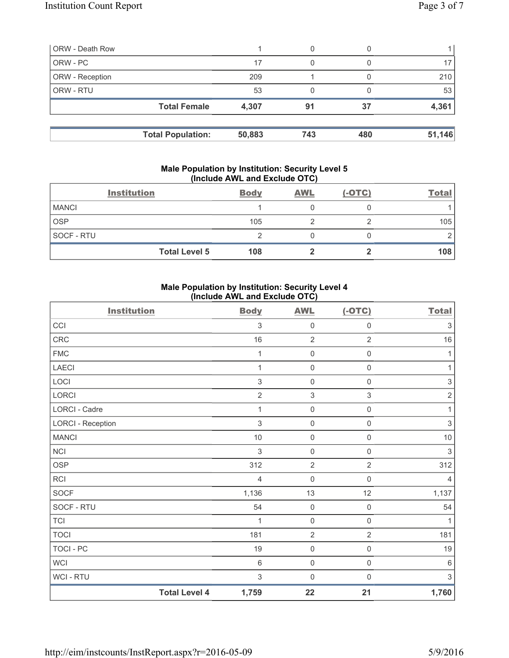| <b>ORW - Death Row</b> |                          |        | 0   |     |        |
|------------------------|--------------------------|--------|-----|-----|--------|
| ORW - PC               |                          | 17     | 0   |     |        |
| ORW - Reception        |                          | 209    |     |     | 210    |
| ORW - RTU              |                          | 53     |     |     | 53     |
|                        | <b>Total Female</b>      | 4,307  | 91  | 37  | 4,361  |
|                        | <b>Total Population:</b> | 50,883 | 743 | 480 | 51,146 |

#### **Male Population by Institution: Security Level 5 (Include AWL and Exclude OTC)**

|              | <b>Institution</b>   | <b>Body</b> | <b>AWL</b> | $(-OTC)$ | <b>Total</b> |
|--------------|----------------------|-------------|------------|----------|--------------|
| <b>MANCI</b> |                      |             |            |          |              |
| <b>OSP</b>   |                      | 105         |            |          | 105          |
| SOCF - RTU   |                      |             |            |          |              |
|              | <b>Total Level 5</b> | 108         |            |          | 108          |

# **Male Population by Institution: Security Level 4 (Include AWL and Exclude OTC)**

| <b>Institution</b>       |                      | <b>Body</b>    | <b>AWL</b>          | $(-OTC)$            | <b>Total</b>              |
|--------------------------|----------------------|----------------|---------------------|---------------------|---------------------------|
| CCI                      |                      | $\mathfrak{Z}$ | $\mathsf{O}\xspace$ | $\mathsf{O}\xspace$ | $\ensuremath{\mathsf{3}}$ |
| CRC                      |                      | $16$           | $\overline{2}$      | $\overline{2}$      | $16\,$                    |
| <b>FMC</b>               |                      | 1              | $\mathsf{O}\xspace$ | $\mathsf{O}\xspace$ | $\mathbf{1}$              |
| <b>LAECI</b>             |                      | 1              | $\mathsf{O}\xspace$ | $\mathsf{O}\xspace$ | 1                         |
| LOCI                     |                      | $\sqrt{3}$     | $\mathsf{O}\xspace$ | $\mathsf{O}\xspace$ | $\ensuremath{\mathsf{3}}$ |
| LORCI                    |                      | $\overline{2}$ | $\,$ 3 $\,$         | $\mathfrak{S}$      | $\sqrt{2}$                |
| <b>LORCI - Cadre</b>     |                      | 1              | $\mathbf 0$         | $\mathsf{O}\xspace$ | $\mathbf{1}$              |
| <b>LORCI - Reception</b> |                      | $\mathfrak{S}$ | $\mathsf{O}\xspace$ | $\mathsf{O}\xspace$ | $\ensuremath{\mathsf{3}}$ |
| <b>MANCI</b>             |                      | $10$           | $\mathsf{O}\xspace$ | $\mathsf{O}\xspace$ | $10$                      |
| NCI                      |                      | 3              | $\mathsf{O}\xspace$ | $\mathsf{O}\xspace$ | $\sqrt{3}$                |
| <b>OSP</b>               |                      | 312            | $\overline{2}$      | $\overline{2}$      | 312                       |
| RCI                      |                      | $\overline{4}$ | $\mathsf{O}\xspace$ | $\mathsf 0$         | 4                         |
| SOCF                     |                      | 1,136          | 13                  | 12                  | 1,137                     |
| SOCF - RTU               |                      | 54             | $\mathsf{O}\xspace$ | $\mathsf{O}\xspace$ | 54                        |
| <b>TCI</b>               |                      | 1              | $\mathsf{O}\xspace$ | $\mathbf 0$         | $\mathbf{1}$              |
| <b>TOCI</b>              |                      | 181            | $\overline{2}$      | $\overline{2}$      | 181                       |
| <b>TOCI - PC</b>         |                      | 19             | $\mathsf{O}\xspace$ | $\mathsf{O}\xspace$ | 19                        |
| WCI                      |                      | $\,6\,$        | $\mathsf{O}\xspace$ | $\mathsf{O}\xspace$ | $\,6\,$                   |
| <b>WCI-RTU</b>           |                      | $\mathfrak{S}$ | $\mathsf 0$         | $\boldsymbol{0}$    | $\sqrt{3}$                |
|                          | <b>Total Level 4</b> | 1,759          | 22                  | 21                  | 1,760                     |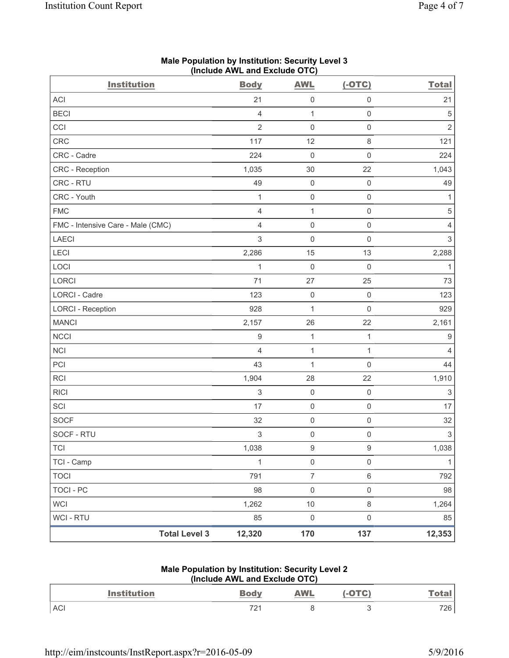| <b>Institution</b>                | <b>Body</b>               | <b>AWL</b>          | $(-OTC)$            | <b>Total</b>              |
|-----------------------------------|---------------------------|---------------------|---------------------|---------------------------|
| <b>ACI</b>                        | 21                        | $\mathsf{O}\xspace$ | $\mathsf{O}\xspace$ | 21                        |
| <b>BECI</b>                       | $\overline{4}$            | $\mathbf{1}$        | $\mathsf{O}\xspace$ | 5                         |
| CCI                               | $\overline{2}$            | $\mathsf 0$         | $\mathsf{O}\xspace$ | $\sqrt{2}$                |
| CRC                               | 117                       | 12                  | $\,8\,$             | 121                       |
| CRC - Cadre                       | 224                       | $\mathsf 0$         | $\mathsf{O}\xspace$ | 224                       |
| CRC - Reception                   | 1,035                     | 30                  | 22                  | 1,043                     |
| CRC - RTU                         | 49                        | $\mathsf{O}\xspace$ | $\mathsf 0$         | 49                        |
| CRC - Youth                       | 1                         | $\mathsf{O}\xspace$ | $\mathsf 0$         | 1                         |
| <b>FMC</b>                        | $\overline{4}$            | $\mathbf{1}$        | $\mathsf{O}\xspace$ | 5                         |
| FMC - Intensive Care - Male (CMC) | $\overline{4}$            | $\mathsf 0$         | $\mathsf 0$         | 4                         |
| <b>LAECI</b>                      | 3                         | $\mathbf 0$         | $\mathsf 0$         | $\ensuremath{\mathsf{3}}$ |
| <b>LECI</b>                       | 2,286                     | 15                  | 13                  | 2,288                     |
| LOCI                              | 1                         | $\mathbf 0$         | $\mathsf 0$         | 1                         |
| LORCI                             | 71                        | 27                  | 25                  | 73                        |
| LORCI - Cadre                     | 123                       | $\mathsf{O}\xspace$ | $\mathsf{O}\xspace$ | 123                       |
| <b>LORCI - Reception</b>          | 928                       | $\mathbf{1}$        | $\mathsf 0$         | 929                       |
| <b>MANCI</b>                      | 2,157                     | 26                  | 22                  | 2,161                     |
| <b>NCCI</b>                       | $\boldsymbol{9}$          | $\mathbf{1}$        | $\mathbf{1}$        | 9                         |
| <b>NCI</b>                        | $\overline{4}$            | $\mathbf{1}$        | 1                   | 4                         |
| PCI                               | 43                        | 1                   | $\mathsf 0$         | 44                        |
| <b>RCI</b>                        | 1,904                     | 28                  | 22                  | 1,910                     |
| <b>RICI</b>                       | 3                         | $\mathsf{O}\xspace$ | $\mathsf 0$         | 3                         |
| SCI                               | 17                        | $\mathsf{O}\xspace$ | $\mathsf 0$         | 17                        |
| <b>SOCF</b>                       | 32                        | $\mathsf{O}\xspace$ | $\mathsf 0$         | 32                        |
| SOCF - RTU                        | $\ensuremath{\mathsf{3}}$ | $\mathsf 0$         | $\mathsf{O}\xspace$ | $\ensuremath{\mathsf{3}}$ |
| TCI                               | 1,038                     | $\boldsymbol{9}$    | 9                   | 1,038                     |
| TCI - Camp                        | $\mathbf{1}$              | $\mathsf{O}\xspace$ | $\mathsf{O}\xspace$ | 1                         |
| <b>TOCI</b>                       | 791                       | $\overline{7}$      | $\,6\,$             | 792                       |
| <b>TOCI - PC</b>                  | 98                        | $\mathsf{O}\xspace$ | $\mathsf{O}\xspace$ | 98                        |
| <b>WCI</b>                        | 1,262                     | $10$                | $\,8\,$             | 1,264                     |
| WCI - RTU                         | 85                        | $\mathsf{O}\xspace$ | $\mathsf 0$         | 85                        |
| <b>Total Level 3</b>              | 12,320                    | 170                 | 137                 | 12,353                    |

# **Male Population by Institution: Security Level 3 (Include AWL and Exclude OTC)**

## **Male Population by Institution: Security Level 2 (Include AWL and Exclude OTC)**

| Institution | <b>Body</b>                 | <b>AWL</b> |           |
|-------------|-----------------------------|------------|-----------|
| <b>ACI</b>  | 70 <sub>4</sub><br>$\sim$ 1 |            | 70C<br>∠∪ |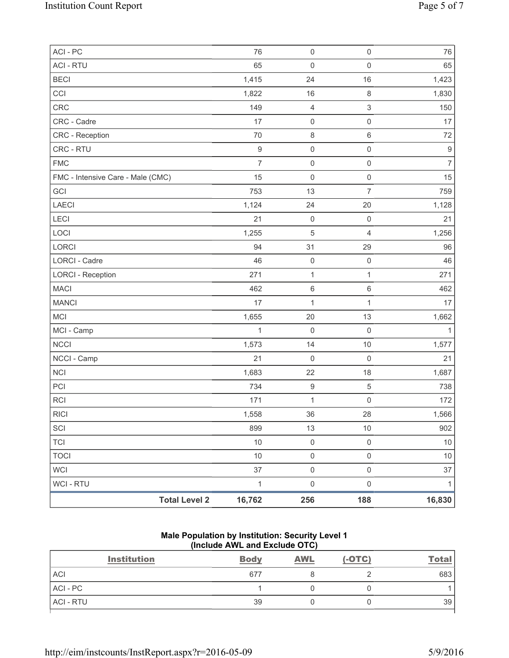| <b>Total Level 2</b>              | 16,762           | 256                 | 188                       | 16,830           |
|-----------------------------------|------------------|---------------------|---------------------------|------------------|
| <b>WCI-RTU</b>                    | $\mathbf{1}$     | $\mathsf{O}\xspace$ | $\mathsf 0$               | $\mathbf{1}$     |
| <b>WCI</b>                        | 37               | $\mathsf{O}\xspace$ | $\mathsf 0$               | 37               |
| <b>TOCI</b>                       | $10$             | $\mathsf{O}\xspace$ | $\mathsf{O}\xspace$       | $10$             |
| <b>TCI</b>                        | 10               | $\mathsf{O}\xspace$ | $\mathsf{O}\xspace$       | 10               |
| SCI                               | 899              | 13                  | 10                        | 902              |
| RICI                              | 1,558            | 36                  | 28                        | 1,566            |
| <b>RCI</b>                        | 171              | $\mathbf 1$         | $\mathbf 0$               | 172              |
| PCI                               | 734              | $\boldsymbol{9}$    | $\,$ 5 $\,$               | 738              |
| <b>NCI</b>                        | 1,683            | 22                  | 18                        | 1,687            |
| NCCI - Camp                       | 21               | $\mathbf 0$         | $\mathsf 0$               | 21               |
| <b>NCCI</b>                       | 1,573            | 14                  | 10                        | 1,577            |
| MCI - Camp                        | $\mathbf{1}$     | $\mathsf 0$         | $\mathbf 0$               | 1                |
| MCI                               | 1,655            | 20                  | 13                        | 1,662            |
| <b>MANCI</b>                      | 17               | $\mathbf 1$         | $\mathbf{1}$              | 17               |
| <b>MACI</b>                       | 462              | $\,6$               | $\,6\,$                   | 462              |
| <b>LORCI - Reception</b>          | 271              | $\mathbf{1}$        | 1                         | 271              |
| LORCI - Cadre                     | 46               | $\mathbf 0$         | $\mathsf 0$               | 46               |
| <b>LORCI</b>                      | 94               | 31                  | 29                        | 96               |
| LOCI                              | 1,255            | 5                   | $\overline{4}$            | 1,256            |
| LECI                              | 21               | $\mathsf 0$         | $\mathbf 0$               | 21               |
| LAECI                             | 1,124            | 24                  | 20                        | 1,128            |
| GCI                               | 753              | 13                  | $\overline{7}$            | 759              |
| FMC - Intensive Care - Male (CMC) | 15               | $\mathsf{O}\xspace$ | $\mathsf{O}\xspace$       | 15               |
| <b>FMC</b>                        | $\overline{7}$   | $\mathsf{O}\xspace$ | $\mathsf 0$               | $\overline{7}$   |
| CRC - RTU                         | $\boldsymbol{9}$ | $\mathsf{O}\xspace$ | $\mathsf{O}\xspace$       | $\boldsymbol{9}$ |
| CRC - Reception                   | 70               | $\,8\,$             | $\,6\,$                   | 72               |
| CRC - Cadre                       | 17               | $\mathsf 0$         | $\mathsf 0$               | 17               |
| CRC                               | 149              | 4                   | $\ensuremath{\mathsf{3}}$ | 150              |
| CCI                               | 1,822            | 16                  | $\,8\,$                   | 1,830            |
| <b>BECI</b>                       | 1,415            | 24                  | 16                        | 1,423            |
| <b>ACI - RTU</b>                  | 65               | $\mathsf 0$         | $\mathsf 0$               | 65               |
| ACI - PC                          | 76               | $\mathsf{O}\xspace$ | $\mathsf{O}\xspace$       | 76               |

# **Male Population by Institution: Security Level 1 (Include AWL and Exclude OTC)**

| <b>Institution</b> | <b>Body</b> | <b>AWL</b> | $(-OTC)$ | <b>Total</b> |
|--------------------|-------------|------------|----------|--------------|
| <b>ACI</b>         | 677         |            |          | 683          |
| $ACI - PC$         |             |            |          |              |
| <b>ACI - RTU</b>   | 39          |            |          | 39           |